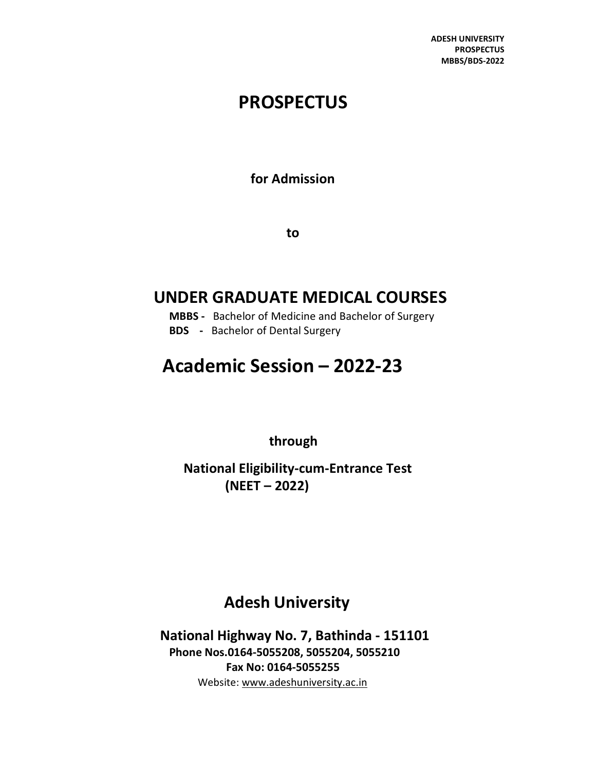ADESH UNIVERSITY **PROSPECTUS** MBBS/BDS-2022

## **PROSPECTUS**

for Admission

to

## UNDER GRADUATE MEDICAL COURSES

- MBBS Bachelor of Medicine and Bachelor of Surgery
- BDS Bachelor of Dental Surgery

# Academic Session – 2022-23

through

National Eligibility-cum-Entrance Test (NEET – 2022)

## Adesh University

National Highway No. 7, Bathinda - 151101 Phone Nos.0164-5055208, 5055204, 5055210 Fax No: 0164-5055255 Website: www.adeshuniversity.ac.in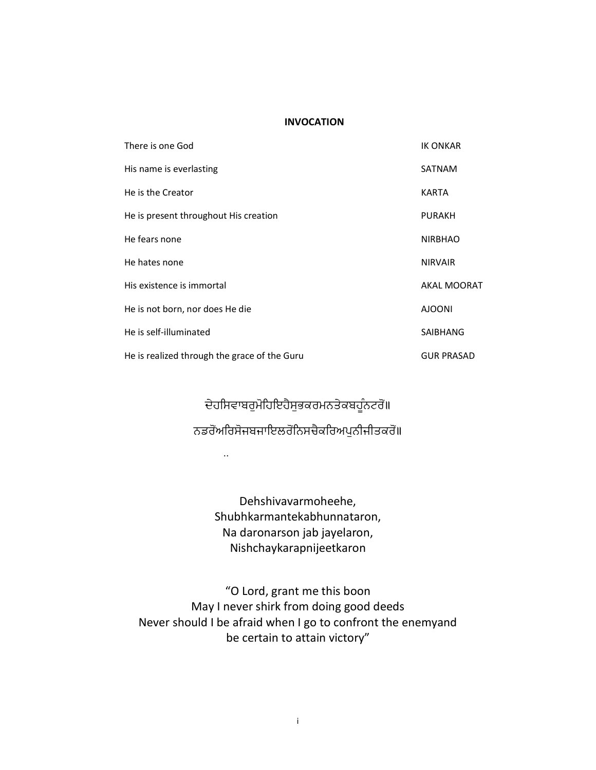#### INVOCATION

| There is one God                             | <b>IK ONKAR</b>    |
|----------------------------------------------|--------------------|
| His name is everlasting                      | <b>SATNAM</b>      |
| He is the Creator                            | KARTA              |
| He is present throughout His creation        | <b>PURAKH</b>      |
| He fears none                                | <b>NIRBHAO</b>     |
| He hates none                                | <b>NIRVAIR</b>     |
| His existence is immortal                    | <b>AKAL MOORAT</b> |
| He is not born, nor does He die              | <b>AJOONI</b>      |
| He is self-illuminated                       | <b>SAIBHANG</b>    |
| He is realized through the grace of the Guru | <b>GUR PRASAD</b>  |

ਦੇਹਸਿਵਾਬਰੁਮੋਹਿਇਹੈਸੁਭਕਰਮਨਤੇਕਬਹੂੰਨਟਰੋਂ॥ ਨਡਰੋਂਅਰਿਸੋਜਬਜਾਇਲਰੋਨਿਸਚੈਕਰਿਅਪੁਨੀਜੀਤਕਰੋਂ॥

..

Dehshivavarmoheehe, Shubhkarmantekabhunnataron, Na daronarson jab jayelaron, Nishchaykarapnijeetkaron

"O Lord, grant me this boon May I never shirk from doing good deeds Never should I be afraid when I go to confront the enemyand be certain to attain victory"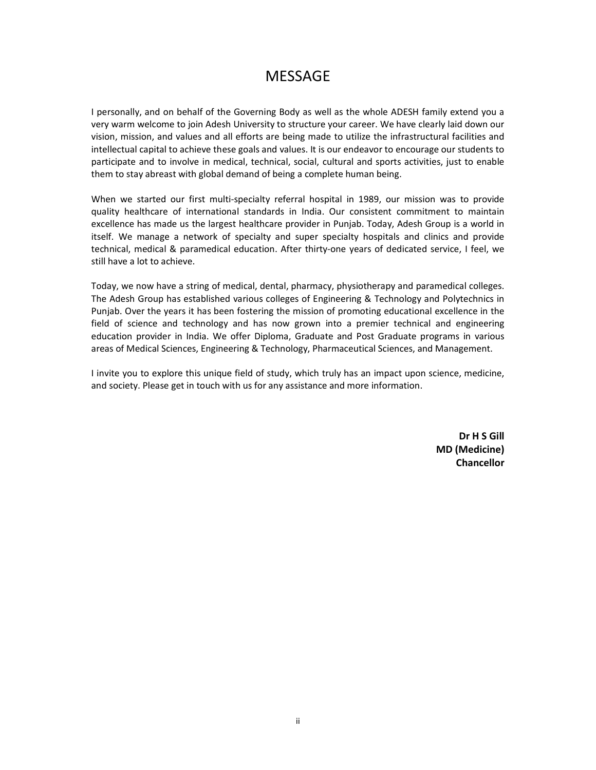## MESSAGE

I personally, and on behalf of the Governing Body as well as the whole ADESH family extend you a very warm welcome to join Adesh University to structure your career. We have clearly laid down our vision, mission, and values and all efforts are being made to utilize the infrastructural facilities and intellectual capital to achieve these goals and values. It is our endeavor to encourage our students to participate and to involve in medical, technical, social, cultural and sports activities, just to enable them to stay abreast with global demand of being a complete human being.

When we started our first multi-specialty referral hospital in 1989, our mission was to provide quality healthcare of international standards in India. Our consistent commitment to maintain excellence has made us the largest healthcare provider in Punjab. Today, Adesh Group is a world in itself. We manage a network of specialty and super specialty hospitals and clinics and provide technical, medical & paramedical education. After thirty-one years of dedicated service, I feel, we still have a lot to achieve.

Today, we now have a string of medical, dental, pharmacy, physiotherapy and paramedical colleges. The Adesh Group has established various colleges of Engineering & Technology and Polytechnics in Punjab. Over the years it has been fostering the mission of promoting educational excellence in the field of science and technology and has now grown into a premier technical and engineering education provider in India. We offer Diploma, Graduate and Post Graduate programs in various areas of Medical Sciences, Engineering & Technology, Pharmaceutical Sciences, and Management.

I invite you to explore this unique field of study, which truly has an impact upon science, medicine, and society. Please get in touch with us for any assistance and more information.

> Dr H S Gill MD (Medicine) Chancellor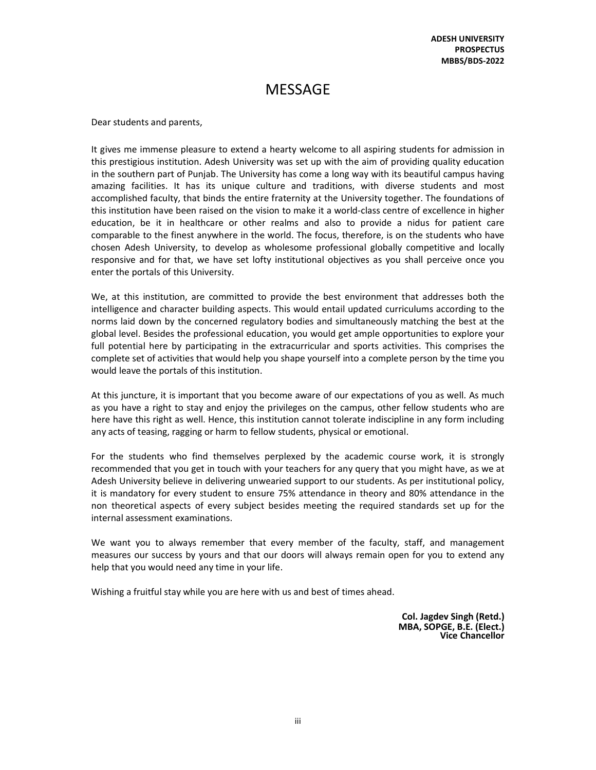ADESH UNIVERSITY **PROSPECTUS** MBBS/BDS-2022

## **MESSAGE**

Dear students and parents,

It gives me immense pleasure to extend a hearty welcome to all aspiring students for admission in this prestigious institution. Adesh University was set up with the aim of providing quality education in the southern part of Punjab. The University has come a long way with its beautiful campus having amazing facilities. It has its unique culture and traditions, with diverse students and most accomplished faculty, that binds the entire fraternity at the University together. The foundations of this institution have been raised on the vision to make it a world-class centre of excellence in higher education, be it in healthcare or other realms and also to provide a nidus for patient care comparable to the finest anywhere in the world. The focus, therefore, is on the students who have chosen Adesh University, to develop as wholesome professional globally competitive and locally responsive and for that, we have set lofty institutional objectives as you shall perceive once you enter the portals of this University.

We, at this institution, are committed to provide the best environment that addresses both the intelligence and character building aspects. This would entail updated curriculums according to the norms laid down by the concerned regulatory bodies and simultaneously matching the best at the global level. Besides the professional education, you would get ample opportunities to explore your full potential here by participating in the extracurricular and sports activities. This comprises the complete set of activities that would help you shape yourself into a complete person by the time you would leave the portals of this institution.

At this juncture, it is important that you become aware of our expectations of you as well. As much as you have a right to stay and enjoy the privileges on the campus, other fellow students who are here have this right as well. Hence, this institution cannot tolerate indiscipline in any form including any acts of teasing, ragging or harm to fellow students, physical or emotional.

For the students who find themselves perplexed by the academic course work, it is strongly recommended that you get in touch with your teachers for any query that you might have, as we at Adesh University believe in delivering unwearied support to our students. As per institutional policy, it is mandatory for every student to ensure 75% attendance in theory and 80% attendance in the non theoretical aspects of every subject besides meeting the required standards set up for the internal assessment examinations.

We want you to always remember that every member of the faculty, staff, and management measures our success by yours and that our doors will always remain open for you to extend any help that you would need any time in your life.

Wishing a fruitful stay while you are here with us and best of times ahead.

Col. Jagdev Singh (Retd.) MBA, SOPGE, B.E. (Elect.) Vice Chancellor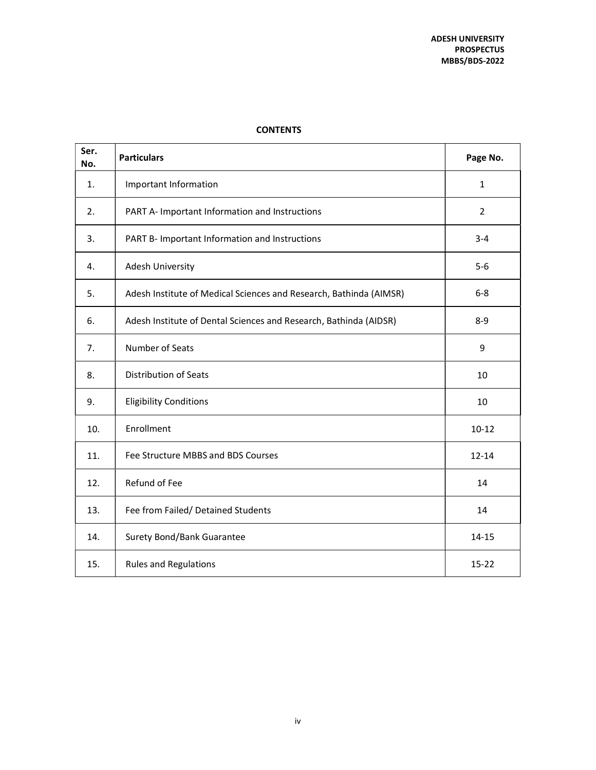| Ser.<br>No. | <b>Particulars</b>                                                 | Page No.       |
|-------------|--------------------------------------------------------------------|----------------|
| 1.          | Important Information                                              | $\mathbf{1}$   |
| 2.          | PART A- Important Information and Instructions                     | $\overline{2}$ |
| 3.          | PART B- Important Information and Instructions                     | $3 - 4$        |
| 4.          | Adesh University                                                   | $5-6$          |
| 5.          | Adesh Institute of Medical Sciences and Research, Bathinda (AIMSR) | $6 - 8$        |
| 6.          | Adesh Institute of Dental Sciences and Research, Bathinda (AIDSR)  | $8 - 9$        |
| 7.          | Number of Seats                                                    | 9              |
| 8.          | <b>Distribution of Seats</b>                                       | 10             |
| 9.          | <b>Eligibility Conditions</b>                                      | 10             |
| 10.         | Enrollment                                                         | $10 - 12$      |
| 11.         | Fee Structure MBBS and BDS Courses                                 | $12 - 14$      |
| 12.         | Refund of Fee                                                      | 14             |
| 13.         | Fee from Failed/ Detained Students                                 | 14             |
| 14.         | Surety Bond/Bank Guarantee                                         | $14 - 15$      |
| 15.         | <b>Rules and Regulations</b>                                       | $15 - 22$      |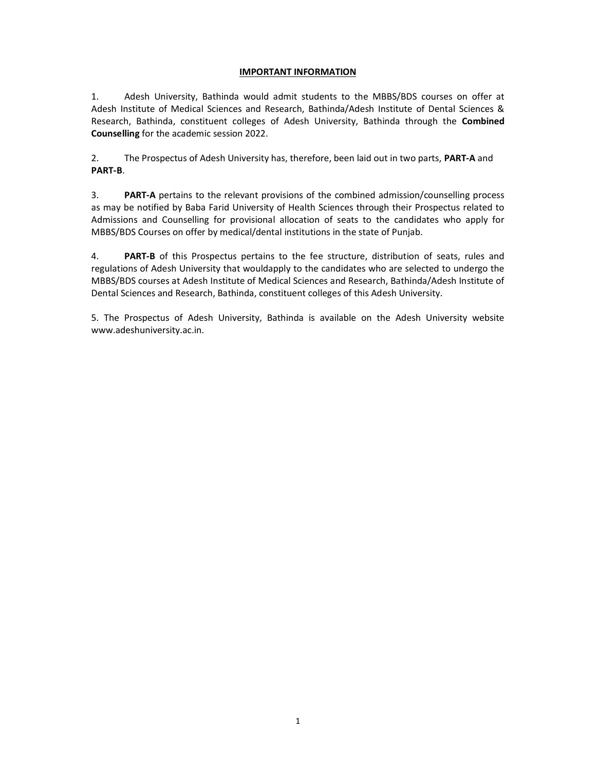## IMPORTANT INFORMATION

1. Adesh University, Bathinda would admit students to the MBBS/BDS courses on offer at Adesh Institute of Medical Sciences and Research, Bathinda/Adesh Institute of Dental Sciences & Research, Bathinda, constituent colleges of Adesh University, Bathinda through the Combined Counselling for the academic session 2022.

2. The Prospectus of Adesh University has, therefore, been laid out in two parts, PART-A and PART-B.

3. PART-A pertains to the relevant provisions of the combined admission/counselling process as may be notified by Baba Farid University of Health Sciences through their Prospectus related to Admissions and Counselling for provisional allocation of seats to the candidates who apply for MBBS/BDS Courses on offer by medical/dental institutions in the state of Punjab.

4. **PART-B** of this Prospectus pertains to the fee structure, distribution of seats, rules and regulations of Adesh University that wouldapply to the candidates who are selected to undergo the MBBS/BDS courses at Adesh Institute of Medical Sciences and Research, Bathinda/Adesh Institute of Dental Sciences and Research, Bathinda, constituent colleges of this Adesh University.

5. The Prospectus of Adesh University, Bathinda is available on the Adesh University website www.adeshuniversity.ac.in.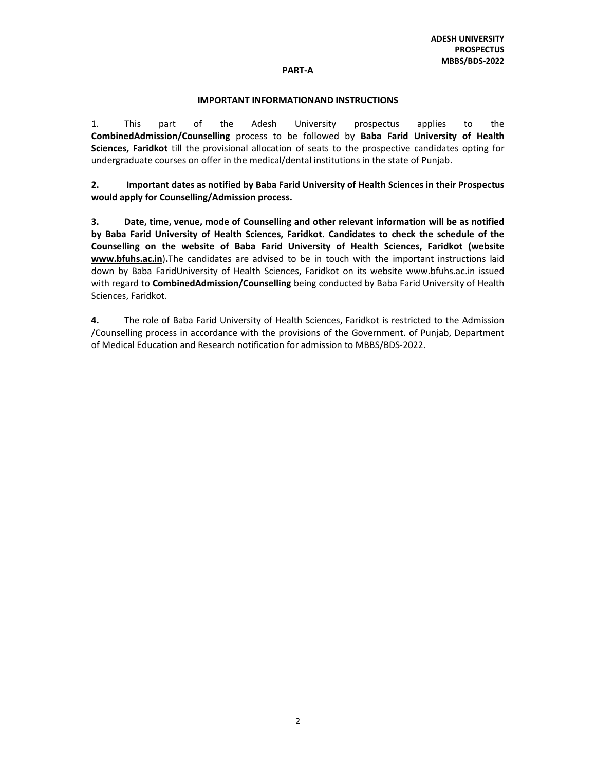#### PART-A

#### IMPORTANT INFORMATIONAND INSTRUCTIONS

1. This part of the Adesh University prospectus applies to the CombinedAdmission/Counselling process to be followed by Baba Farid University of Health Sciences, Faridkot till the provisional allocation of seats to the prospective candidates opting for undergraduate courses on offer in the medical/dental institutions in the state of Punjab.

2. Important dates as notified by Baba Farid University of Health Sciences in their Prospectus would apply for Counselling/Admission process.

3. Date, time, venue, mode of Counselling and other relevant information will be as notified by Baba Farid University of Health Sciences, Faridkot. Candidates to check the schedule of the Counselling on the website of Baba Farid University of Health Sciences, Faridkot (website www.bfuhs.ac.in).The candidates are advised to be in touch with the important instructions laid down by Baba FaridUniversity of Health Sciences, Faridkot on its website www.bfuhs.ac.in issued with regard to CombinedAdmission/Counselling being conducted by Baba Farid University of Health Sciences, Faridkot.

4. The role of Baba Farid University of Health Sciences, Faridkot is restricted to the Admission /Counselling process in accordance with the provisions of the Government. of Punjab, Department of Medical Education and Research notification for admission to MBBS/BDS-2022.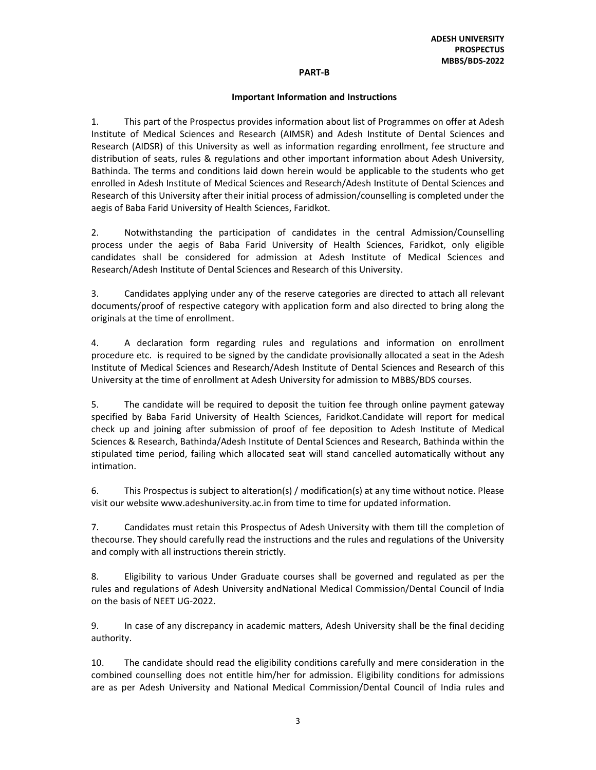#### PART-B

#### Important Information and Instructions

1. This part of the Prospectus provides information about list of Programmes on offer at Adesh Institute of Medical Sciences and Research (AIMSR) and Adesh Institute of Dental Sciences and Research (AIDSR) of this University as well as information regarding enrollment, fee structure and distribution of seats, rules & regulations and other important information about Adesh University, Bathinda. The terms and conditions laid down herein would be applicable to the students who get enrolled in Adesh Institute of Medical Sciences and Research/Adesh Institute of Dental Sciences and Research of this University after their initial process of admission/counselling is completed under the aegis of Baba Farid University of Health Sciences, Faridkot.

2. Notwithstanding the participation of candidates in the central Admission/Counselling process under the aegis of Baba Farid University of Health Sciences, Faridkot, only eligible candidates shall be considered for admission at Adesh Institute of Medical Sciences and Research/Adesh Institute of Dental Sciences and Research of this University.

3. Candidates applying under any of the reserve categories are directed to attach all relevant documents/proof of respective category with application form and also directed to bring along the originals at the time of enrollment.

4. A declaration form regarding rules and regulations and information on enrollment procedure etc. is required to be signed by the candidate provisionally allocated a seat in the Adesh Institute of Medical Sciences and Research/Adesh Institute of Dental Sciences and Research of this University at the time of enrollment at Adesh University for admission to MBBS/BDS courses.

5. The candidate will be required to deposit the tuition fee through online payment gateway specified by Baba Farid University of Health Sciences, Faridkot.Candidate will report for medical check up and joining after submission of proof of fee deposition to Adesh Institute of Medical Sciences & Research, Bathinda/Adesh Institute of Dental Sciences and Research, Bathinda within the stipulated time period, failing which allocated seat will stand cancelled automatically without any intimation.

6. This Prospectus is subject to alteration(s) / modification(s) at any time without notice. Please visit our website www.adeshuniversity.ac.in from time to time for updated information.

7. Candidates must retain this Prospectus of Adesh University with them till the completion of thecourse. They should carefully read the instructions and the rules and regulations of the University and comply with all instructions therein strictly.

8. Eligibility to various Under Graduate courses shall be governed and regulated as per the rules and regulations of Adesh University andNational Medical Commission/Dental Council of India on the basis of NEET UG-2022.

9. In case of any discrepancy in academic matters, Adesh University shall be the final deciding authority.

10. The candidate should read the eligibility conditions carefully and mere consideration in the combined counselling does not entitle him/her for admission. Eligibility conditions for admissions are as per Adesh University and National Medical Commission/Dental Council of India rules and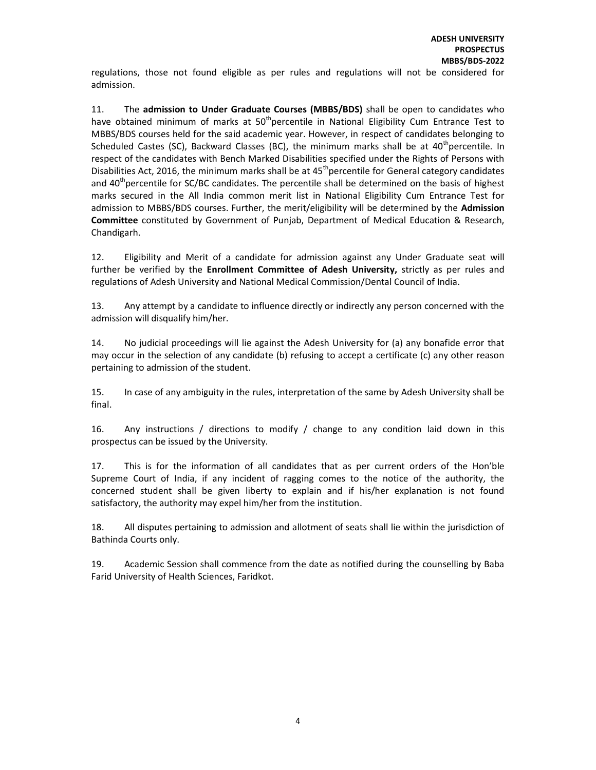regulations, those not found eligible as per rules and regulations will not be considered for admission.

11. The admission to Under Graduate Courses (MBBS/BDS) shall be open to candidates who have obtained minimum of marks at 50<sup>th</sup>percentile in National Eligibility Cum Entrance Test to MBBS/BDS courses held for the said academic year. However, in respect of candidates belonging to Scheduled Castes (SC), Backward Classes (BC), the minimum marks shall be at  $40<sup>th</sup>$ percentile. In respect of the candidates with Bench Marked Disabilities specified under the Rights of Persons with Disabilities Act, 2016, the minimum marks shall be at  $45<sup>th</sup>$  percentile for General category candidates and  $40<sup>th</sup>$  percentile for SC/BC candidates. The percentile shall be determined on the basis of highest marks secured in the All India common merit list in National Eligibility Cum Entrance Test for admission to MBBS/BDS courses. Further, the merit/eligibility will be determined by the Admission Committee constituted by Government of Punjab, Department of Medical Education & Research, Chandigarh.

12. Eligibility and Merit of a candidate for admission against any Under Graduate seat will further be verified by the Enrollment Committee of Adesh University, strictly as per rules and regulations of Adesh University and National Medical Commission/Dental Council of India.

13. Any attempt by a candidate to influence directly or indirectly any person concerned with the admission will disqualify him/her.

14. No judicial proceedings will lie against the Adesh University for (a) any bonafide error that may occur in the selection of any candidate (b) refusing to accept a certificate (c) any other reason pertaining to admission of the student.

15. In case of any ambiguity in the rules, interpretation of the same by Adesh University shall be final.

16. Any instructions / directions to modify / change to any condition laid down in this prospectus can be issued by the University.

17. This is for the information of all candidates that as per current orders of the Hon'ble Supreme Court of India, if any incident of ragging comes to the notice of the authority, the concerned student shall be given liberty to explain and if his/her explanation is not found satisfactory, the authority may expel him/her from the institution.

18. All disputes pertaining to admission and allotment of seats shall lie within the jurisdiction of Bathinda Courts only.

19. Academic Session shall commence from the date as notified during the counselling by Baba Farid University of Health Sciences, Faridkot.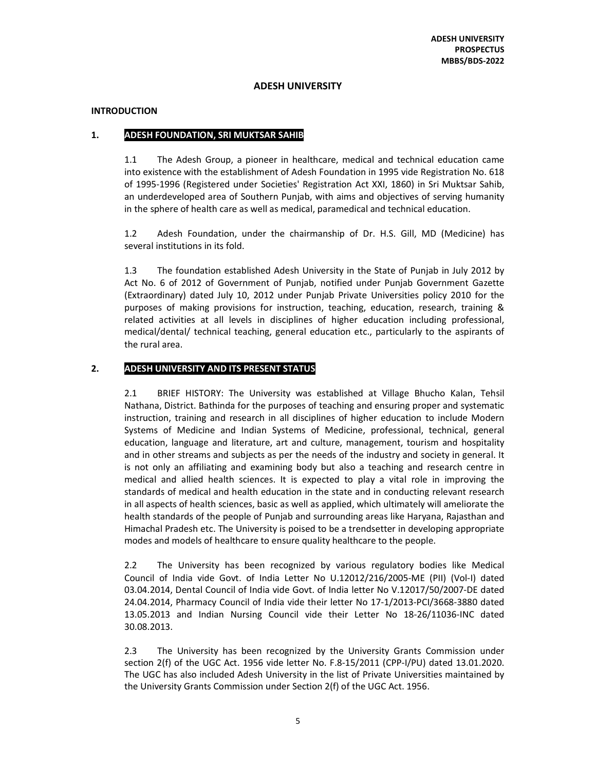## ADESH UNIVERSITY

## INTRODUCTION

## 1. ADESH FOUNDATION, SRI MUKTSAR SAHIB

1.1 The Adesh Group, a pioneer in healthcare, medical and technical education came into existence with the establishment of Adesh Foundation in 1995 vide Registration No. 618 of 1995-1996 (Registered under Societies' Registration Act XXI, 1860) in Sri Muktsar Sahib, an underdeveloped area of Southern Punjab, with aims and objectives of serving humanity in the sphere of health care as well as medical, paramedical and technical education.

1.2 Adesh Foundation, under the chairmanship of Dr. H.S. Gill, MD (Medicine) has several institutions in its fold.

1.3 The foundation established Adesh University in the State of Punjab in July 2012 by Act No. 6 of 2012 of Government of Punjab, notified under Punjab Government Gazette (Extraordinary) dated July 10, 2012 under Punjab Private Universities policy 2010 for the purposes of making provisions for instruction, teaching, education, research, training & related activities at all levels in disciplines of higher education including professional, medical/dental/ technical teaching, general education etc., particularly to the aspirants of the rural area.

## 2. ADESH UNIVERSITY AND ITS PRESENT STATUS

2.1 BRIEF HISTORY: The University was established at Village Bhucho Kalan, Tehsil Nathana, District. Bathinda for the purposes of teaching and ensuring proper and systematic instruction, training and research in all disciplines of higher education to include Modern Systems of Medicine and Indian Systems of Medicine, professional, technical, general education, language and literature, art and culture, management, tourism and hospitality and in other streams and subjects as per the needs of the industry and society in general. It is not only an affiliating and examining body but also a teaching and research centre in medical and allied health sciences. It is expected to play a vital role in improving the standards of medical and health education in the state and in conducting relevant research in all aspects of health sciences, basic as well as applied, which ultimately will ameliorate the health standards of the people of Punjab and surrounding areas like Haryana, Rajasthan and Himachal Pradesh etc. The University is poised to be a trendsetter in developing appropriate modes and models of healthcare to ensure quality healthcare to the people.

2.2 The University has been recognized by various regulatory bodies like Medical Council of India vide Govt. of India Letter No U.12012/216/2005-ME (PII) (Vol-I) dated 03.04.2014, Dental Council of India vide Govt. of India letter No V.12017/50/2007-DE dated 24.04.2014, Pharmacy Council of India vide their letter No 17-1/2013-PCI/3668-3880 dated 13.05.2013 and Indian Nursing Council vide their Letter No 18-26/11036-INC dated 30.08.2013.

2.3 The University has been recognized by the University Grants Commission under section 2(f) of the UGC Act. 1956 vide letter No. F.8-15/2011 (CPP-I/PU) dated 13.01.2020. The UGC has also included Adesh University in the list of Private Universities maintained by the University Grants Commission under Section 2(f) of the UGC Act. 1956.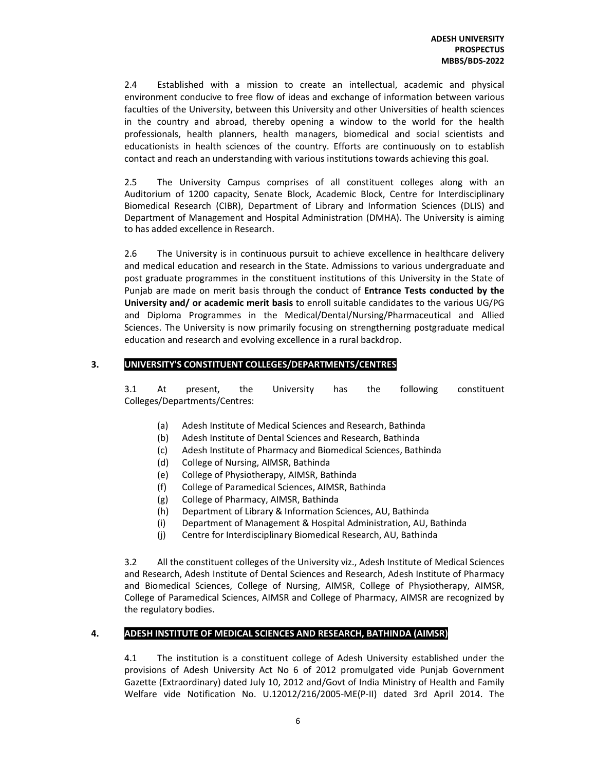2.4 Established with a mission to create an intellectual, academic and physical environment conducive to free flow of ideas and exchange of information between various faculties of the University, between this University and other Universities of health sciences in the country and abroad, thereby opening a window to the world for the health professionals, health planners, health managers, biomedical and social scientists and educationists in health sciences of the country. Efforts are continuously on to establish contact and reach an understanding with various institutions towards achieving this goal.

2.5 The University Campus comprises of all constituent colleges along with an Auditorium of 1200 capacity, Senate Block, Academic Block, Centre for Interdisciplinary Biomedical Research (CIBR), Department of Library and Information Sciences (DLIS) and Department of Management and Hospital Administration (DMHA). The University is aiming to has added excellence in Research.

2.6 The University is in continuous pursuit to achieve excellence in healthcare delivery and medical education and research in the State. Admissions to various undergraduate and post graduate programmes in the constituent institutions of this University in the State of Punjab are made on merit basis through the conduct of **Entrance Tests conducted by the** University and/ or academic merit basis to enroll suitable candidates to the various UG/PG and Diploma Programmes in the Medical/Dental/Nursing/Pharmaceutical and Allied Sciences. The University is now primarily focusing on strengtherning postgraduate medical education and research and evolving excellence in a rural backdrop.

## 3. UNIVERSITY'S CONSTITUENT COLLEGES/DEPARTMENTS/CENTRES

3.1 At present, the University has the following constituent Colleges/Departments/Centres:

- (a) Adesh Institute of Medical Sciences and Research, Bathinda
- (b) Adesh Institute of Dental Sciences and Research, Bathinda
- (c) Adesh Institute of Pharmacy and Biomedical Sciences, Bathinda
- (d) College of Nursing, AIMSR, Bathinda
- (e) College of Physiotherapy, AIMSR, Bathinda
- (f) College of Paramedical Sciences, AIMSR, Bathinda
- (g) College of Pharmacy, AIMSR, Bathinda
- (h) Department of Library & Information Sciences, AU, Bathinda
- (i) Department of Management & Hospital Administration, AU, Bathinda
- (j) Centre for Interdisciplinary Biomedical Research, AU, Bathinda

3.2 All the constituent colleges of the University viz., Adesh Institute of Medical Sciences and Research, Adesh Institute of Dental Sciences and Research, Adesh Institute of Pharmacy and Biomedical Sciences, College of Nursing, AIMSR, College of Physiotherapy, AIMSR, College of Paramedical Sciences, AIMSR and College of Pharmacy, AIMSR are recognized by the regulatory bodies.

## 4. ADESH INSTITUTE OF MEDICAL SCIENCES AND RESEARCH, BATHINDA (AIMSR)

4.1 The institution is a constituent college of Adesh University established under the provisions of Adesh University Act No 6 of 2012 promulgated vide Punjab Government Gazette (Extraordinary) dated July 10, 2012 and/Govt of India Ministry of Health and Family Welfare vide Notification No. U.12012/216/2005-ME(P-II) dated 3rd April 2014. The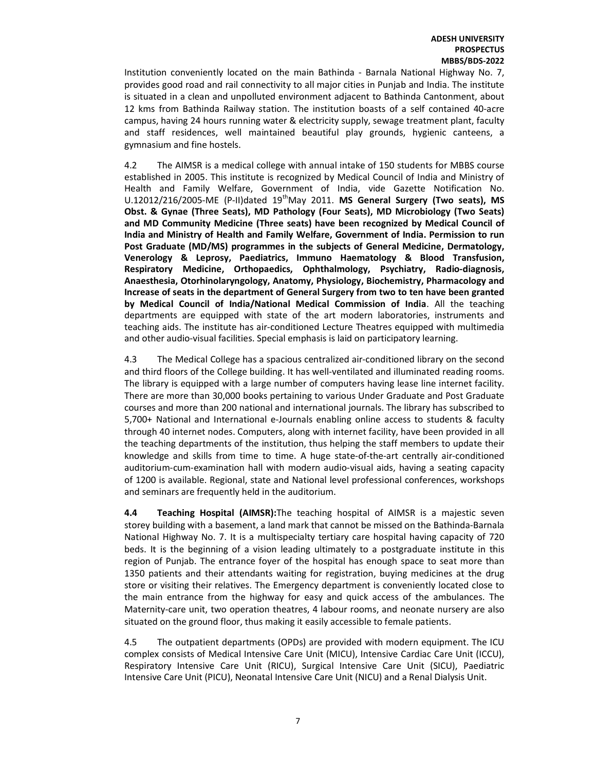Institution conveniently located on the main Bathinda - Barnala National Highway No. 7, provides good road and rail connectivity to all major cities in Punjab and India. The institute is situated in a clean and unpolluted environment adjacent to Bathinda Cantonment, about 12 kms from Bathinda Railway station. The institution boasts of a self contained 40-acre campus, having 24 hours running water & electricity supply, sewage treatment plant, faculty and staff residences, well maintained beautiful play grounds, hygienic canteens, a gymnasium and fine hostels.

4.2 The AIMSR is a medical college with annual intake of 150 students for MBBS course established in 2005. This institute is recognized by Medical Council of India and Ministry of Health and Family Welfare, Government of India, vide Gazette Notification No.  $U.12012/216/2005$ -ME (P-II)dated  $19<sup>th</sup>$ May 2011. **MS General Surgery (Two seats). MS** Obst. & Gynae (Three Seats), MD Pathology (Four Seats), MD Microbiology (Two Seats) and MD Community Medicine (Three seats) have been recognized by Medical Council of India and Ministry of Health and Family Welfare, Government of India. Permission to run Post Graduate (MD/MS) programmes in the subjects of General Medicine, Dermatology, Venerology & Leprosy, Paediatrics, Immuno Haematology & Blood Transfusion, Respiratory Medicine, Orthopaedics, Ophthalmology, Psychiatry, Radio-diagnosis, Anaesthesia, Otorhinolaryngology, Anatomy, Physiology, Biochemistry, Pharmacology and Increase of seats in the department of General Surgery from two to ten have been granted by Medical Council of India/National Medical Commission of India. All the teaching departments are equipped with state of the art modern laboratories, instruments and teaching aids. The institute has air-conditioned Lecture Theatres equipped with multimedia and other audio-visual facilities. Special emphasis is laid on participatory learning.

4.3 The Medical College has a spacious centralized air-conditioned library on the second and third floors of the College building. It has well-ventilated and illuminated reading rooms. The library is equipped with a large number of computers having lease line internet facility. There are more than 30,000 books pertaining to various Under Graduate and Post Graduate courses and more than 200 national and international journals. The library has subscribed to 5,700+ National and International e-Journals enabling online access to students & faculty through 40 internet nodes. Computers, along with internet facility, have been provided in all the teaching departments of the institution, thus helping the staff members to update their knowledge and skills from time to time. A huge state-of-the-art centrally air-conditioned auditorium-cum-examination hall with modern audio-visual aids, having a seating capacity of 1200 is available. Regional, state and National level professional conferences, workshops and seminars are frequently held in the auditorium.

4.4 Teaching Hospital (AIMSR): The teaching hospital of AIMSR is a majestic seven storey building with a basement, a land mark that cannot be missed on the Bathinda-Barnala National Highway No. 7. It is a multispecialty tertiary care hospital having capacity of 720 beds. It is the beginning of a vision leading ultimately to a postgraduate institute in this region of Punjab. The entrance foyer of the hospital has enough space to seat more than 1350 patients and their attendants waiting for registration, buying medicines at the drug store or visiting their relatives. The Emergency department is conveniently located close to the main entrance from the highway for easy and quick access of the ambulances. The Maternity-care unit, two operation theatres, 4 labour rooms, and neonate nursery are also situated on the ground floor, thus making it easily accessible to female patients.

4.5 The outpatient departments (OPDs) are provided with modern equipment. The ICU complex consists of Medical Intensive Care Unit (MICU), Intensive Cardiac Care Unit (ICCU), Respiratory Intensive Care Unit (RICU), Surgical Intensive Care Unit (SICU), Paediatric Intensive Care Unit (PICU), Neonatal Intensive Care Unit (NICU) and a Renal Dialysis Unit.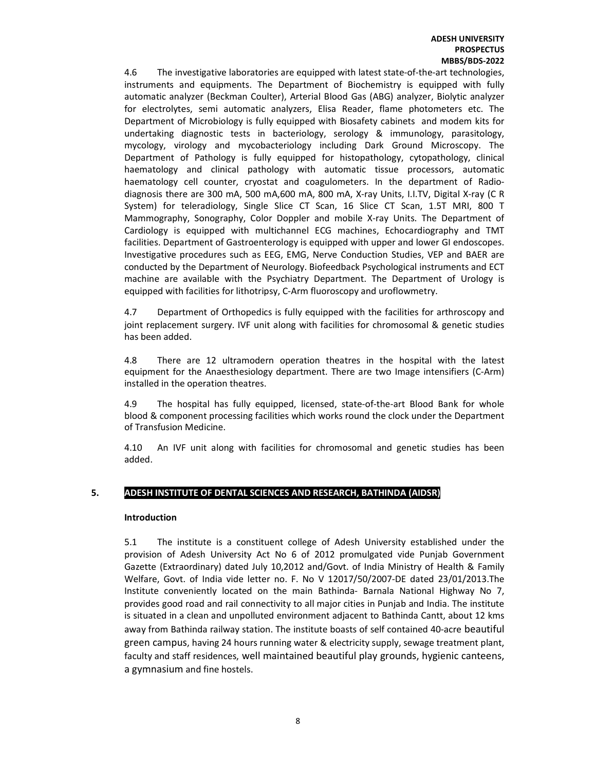#### ADESH UNIVERSITY **PROSPECTUS** MBBS/BDS-2022

4.6 The investigative laboratories are equipped with latest state-of-the-art technologies, instruments and equipments. The Department of Biochemistry is equipped with fully automatic analyzer (Beckman Coulter), Arterial Blood Gas (ABG) analyzer, Biolytic analyzer for electrolytes, semi automatic analyzers, Elisa Reader, flame photometers etc. The Department of Microbiology is fully equipped with Biosafety cabinets and modem kits for undertaking diagnostic tests in bacteriology, serology & immunology, parasitology, mycology, virology and mycobacteriology including Dark Ground Microscopy. The Department of Pathology is fully equipped for histopathology, cytopathology, clinical haematology and clinical pathology with automatic tissue processors, automatic haematology cell counter, cryostat and coagulometers. In the department of Radiodiagnosis there are 300 mA, 500 mA,600 mA, 800 mA, X-ray Units, I.I.TV, Digital X-ray (C R System) for teleradiology, Single Slice CT Scan, 16 Slice CT Scan, 1.5T MRI, 800 T Mammography, Sonography, Color Doppler and mobile X-ray Units. The Department of Cardiology is equipped with multichannel ECG machines, Echocardiography and TMT facilities. Department of Gastroenterology is equipped with upper and lower GI endoscopes. Investigative procedures such as EEG, EMG, Nerve Conduction Studies, VEP and BAER are conducted by the Department of Neurology. Biofeedback Psychological instruments and ECT machine are available with the Psychiatry Department. The Department of Urology is equipped with facilities for lithotripsy, C-Arm fluoroscopy and uroflowmetry.

4.7 Department of Orthopedics is fully equipped with the facilities for arthroscopy and joint replacement surgery. IVF unit along with facilities for chromosomal & genetic studies has been added.

4.8 There are 12 ultramodern operation theatres in the hospital with the latest equipment for the Anaesthesiology department. There are two Image intensifiers (C-Arm) installed in the operation theatres.

4.9 The hospital has fully equipped, licensed, state-of-the-art Blood Bank for whole blood & component processing facilities which works round the clock under the Department of Transfusion Medicine.

4.10 An IVF unit along with facilities for chromosomal and genetic studies has been added.

## 5. ADESH INSTITUTE OF DENTAL SCIENCES AND RESEARCH, BATHINDA (AIDSR)

#### Introduction

5.1 The institute is a constituent college of Adesh University established under the provision of Adesh University Act No 6 of 2012 promulgated vide Punjab Government Gazette (Extraordinary) dated July 10,2012 and/Govt. of India Ministry of Health & Family Welfare, Govt. of India vide letter no. F. No V 12017/50/2007-DE dated 23/01/2013.The Institute conveniently located on the main Bathinda- Barnala National Highway No 7, provides good road and rail connectivity to all major cities in Punjab and India. The institute is situated in a clean and unpolluted environment adjacent to Bathinda Cantt, about 12 kms away from Bathinda railway station. The institute boasts of self contained 40-acre beautiful green campus, having 24 hours running water & electricity supply, sewage treatment plant, faculty and staff residences, well maintained beautiful play grounds, hygienic canteens, a gymnasium and fine hostels.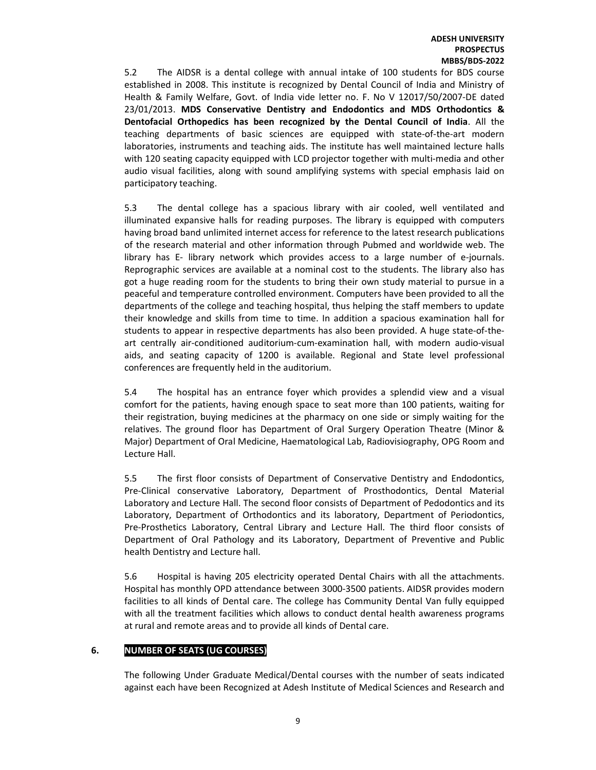5.2 The AIDSR is a dental college with annual intake of 100 students for BDS course established in 2008. This institute is recognized by Dental Council of India and Ministry of Health & Family Welfare, Govt. of India vide letter no. F. No V 12017/50/2007-DE dated 23/01/2013. MDS Conservative Dentistry and Endodontics and MDS Orthodontics & Dentofacial Orthopedics has been recognized by the Dental Council of India. All the teaching departments of basic sciences are equipped with state-of-the-art modern laboratories, instruments and teaching aids. The institute has well maintained lecture halls with 120 seating capacity equipped with LCD projector together with multi-media and other audio visual facilities, along with sound amplifying systems with special emphasis laid on participatory teaching.

5.3 The dental college has a spacious library with air cooled, well ventilated and illuminated expansive halls for reading purposes. The library is equipped with computers having broad band unlimited internet access for reference to the latest research publications of the research material and other information through Pubmed and worldwide web. The library has E- library network which provides access to a large number of e-journals. Reprographic services are available at a nominal cost to the students. The library also has got a huge reading room for the students to bring their own study material to pursue in a peaceful and temperature controlled environment. Computers have been provided to all the departments of the college and teaching hospital, thus helping the staff members to update their knowledge and skills from time to time. In addition a spacious examination hall for students to appear in respective departments has also been provided. A huge state-of-theart centrally air-conditioned auditorium-cum-examination hall, with modern audio-visual aids, and seating capacity of 1200 is available. Regional and State level professional conferences are frequently held in the auditorium.

5.4 The hospital has an entrance foyer which provides a splendid view and a visual comfort for the patients, having enough space to seat more than 100 patients, waiting for their registration, buying medicines at the pharmacy on one side or simply waiting for the relatives. The ground floor has Department of Oral Surgery Operation Theatre (Minor & Major) Department of Oral Medicine, Haematological Lab, Radiovisiography, OPG Room and Lecture Hall.

5.5 The first floor consists of Department of Conservative Dentistry and Endodontics, Pre-Clinical conservative Laboratory, Department of Prosthodontics, Dental Material Laboratory and Lecture Hall. The second floor consists of Department of Pedodontics and its Laboratory, Department of Orthodontics and its laboratory, Department of Periodontics, Pre-Prosthetics Laboratory, Central Library and Lecture Hall. The third floor consists of Department of Oral Pathology and its Laboratory, Department of Preventive and Public health Dentistry and Lecture hall.

5.6 Hospital is having 205 electricity operated Dental Chairs with all the attachments. Hospital has monthly OPD attendance between 3000-3500 patients. AIDSR provides modern facilities to all kinds of Dental care. The college has Community Dental Van fully equipped with all the treatment facilities which allows to conduct dental health awareness programs at rural and remote areas and to provide all kinds of Dental care.

## 6. NUMBER OF SEATS (UG COURSES)

The following Under Graduate Medical/Dental courses with the number of seats indicated against each have been Recognized at Adesh Institute of Medical Sciences and Research and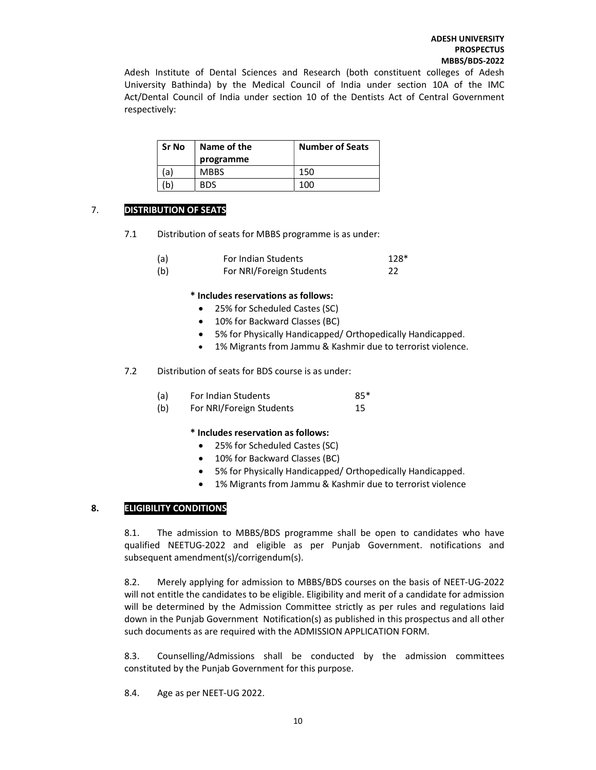Adesh Institute of Dental Sciences and Research (both constituent colleges of Adesh University Bathinda) by the Medical Council of India under section 10A of the IMC Act/Dental Council of India under section 10 of the Dentists Act of Central Government respectively:

| Sr No | Name of the | <b>Number of Seats</b> |
|-------|-------------|------------------------|
|       | programme   |                        |
| a)    | <b>MBBS</b> | 150                    |
| b)    | <b>BDS</b>  | 100                    |

## 7. DISTRIBUTION OF SEATS

7.1 Distribution of seats for MBBS programme is as under:

| (a) | For Indian Students      | 128* |
|-----|--------------------------|------|
| (b) | For NRI/Foreign Students | 22   |

## \* Includes reservations as follows:

- 25% for Scheduled Castes (SC)
- 10% for Backward Classes (BC)
- 5% for Physically Handicapped/ Orthopedically Handicapped.
- 1% Migrants from Jammu & Kashmir due to terrorist violence.
- 7.2 Distribution of seats for BDS course is as under:

| (a) | For Indian Students | 85* |
|-----|---------------------|-----|
| .   | . <i>.</i> .        |     |

(b) For NRI/Foreign Students 15

## \* Includes reservation as follows:

- 25% for Scheduled Castes (SC)
- 10% for Backward Classes (BC)
- 5% for Physically Handicapped/ Orthopedically Handicapped.
- 1% Migrants from Jammu & Kashmir due to terrorist violence

## 8. ELIGIBILITY CONDITIONS

8.1. The admission to MBBS/BDS programme shall be open to candidates who have qualified NEETUG-2022 and eligible as per Punjab Government. notifications and subsequent amendment(s)/corrigendum(s).

8.2. Merely applying for admission to MBBS/BDS courses on the basis of NEET-UG-2022 will not entitle the candidates to be eligible. Eligibility and merit of a candidate for admission will be determined by the Admission Committee strictly as per rules and regulations laid down in the Punjab Government Notification(s) as published in this prospectus and all other such documents as are required with the ADMISSION APPLICATION FORM.

8.3. Counselling/Admissions shall be conducted by the admission committees constituted by the Punjab Government for this purpose.

8.4. Age as per NEET-UG 2022.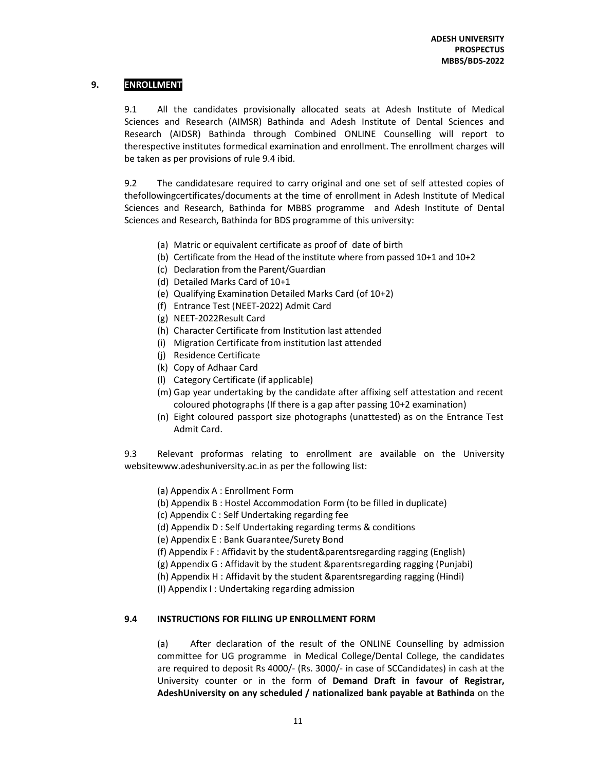## 9. ENROLLMENT

9.1 All the candidates provisionally allocated seats at Adesh Institute of Medical Sciences and Research (AIMSR) Bathinda and Adesh Institute of Dental Sciences and Research (AIDSR) Bathinda through Combined ONLINE Counselling will report to therespective institutes formedical examination and enrollment. The enrollment charges will be taken as per provisions of rule 9.4 ibid.

9.2 The candidatesare required to carry original and one set of self attested copies of thefollowingcertificates/documents at the time of enrollment in Adesh Institute of Medical Sciences and Research, Bathinda for MBBS programme and Adesh Institute of Dental Sciences and Research, Bathinda for BDS programme of this university:

- (a) Matric or equivalent certificate as proof of date of birth
- (b) Certificate from the Head of the institute where from passed 10+1 and 10+2
- (c) Declaration from the Parent/Guardian
- (d) Detailed Marks Card of 10+1
- (e) Qualifying Examination Detailed Marks Card (of 10+2)
- (f) Entrance Test (NEET-2022) Admit Card
- (g) NEET-2022Result Card
- (h) Character Certificate from Institution last attended
- (i) Migration Certificate from institution last attended
- (j) Residence Certificate
- (k) Copy of Adhaar Card
- (l) Category Certificate (if applicable)
- (m) Gap year undertaking by the candidate after affixing self attestation and recent coloured photographs (If there is a gap after passing 10+2 examination)
- (n) Eight coloured passport size photographs (unattested) as on the Entrance Test Admit Card.

9.3 Relevant proformas relating to enrollment are available on the University websitewww.adeshuniversity.ac.in as per the following list:

- (a) Appendix A : Enrollment Form
- (b) Appendix B : Hostel Accommodation Form (to be filled in duplicate)
- (c) Appendix C : Self Undertaking regarding fee
- (d) Appendix D : Self Undertaking regarding terms & conditions
- (e) Appendix E : Bank Guarantee/Surety Bond
- (f) Appendix F : Affidavit by the student&parentsregarding ragging (English)
- (g) Appendix G : Affidavit by the student &parentsregarding ragging (Punjabi)
- (h) Appendix H : Affidavit by the student &parentsregarding ragging (Hindi)
- (I) Appendix I : Undertaking regarding admission

#### 9.4 INSTRUCTIONS FOR FILLING UP ENROLLMENT FORM

(a) After declaration of the result of the ONLINE Counselling by admission committee for UG programme in Medical College/Dental College, the candidates are required to deposit Rs 4000/- (Rs. 3000/- in case of SCCandidates) in cash at the University counter or in the form of Demand Draft in favour of Registrar, AdeshUniversity on any scheduled / nationalized bank payable at Bathinda on the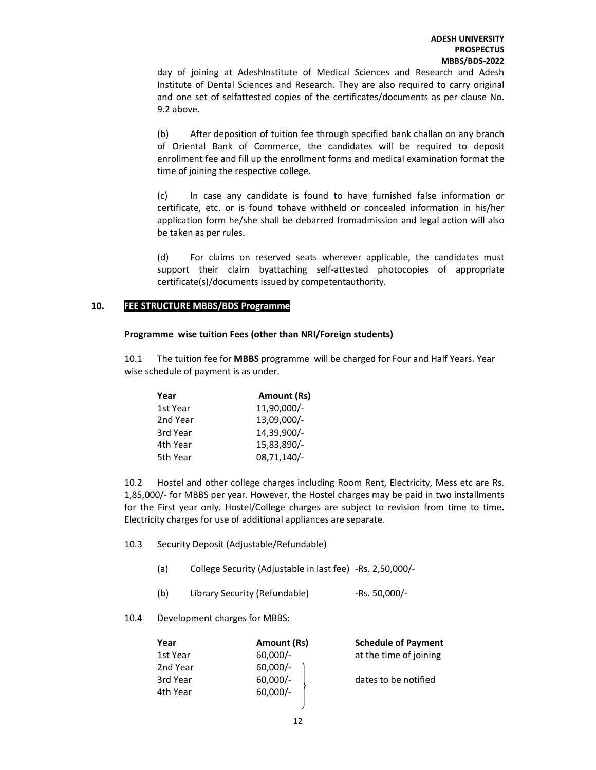day of joining at AdeshInstitute of Medical Sciences and Research and Adesh Institute of Dental Sciences and Research. They are also required to carry original and one set of selfattested copies of the certificates/documents as per clause No. 9.2 above.

(b) After deposition of tuition fee through specified bank challan on any branch of Oriental Bank of Commerce, the candidates will be required to deposit enrollment fee and fill up the enrollment forms and medical examination format the time of joining the respective college.

(c) In case any candidate is found to have furnished false information or certificate, etc. or is found tohave withheld or concealed information in his/her application form he/she shall be debarred fromadmission and legal action will also be taken as per rules.

(d) For claims on reserved seats wherever applicable, the candidates must support their claim byattaching self-attested photocopies of appropriate certificate(s)/documents issued by competentauthority.

## 10. FEE STRUCTURE MBBS/BDS Programme

#### Programme wise tuition Fees (other than NRI/Foreign students)

10.1 The tuition fee for MBBS programme will be charged for Four and Half Years. Year wise schedule of payment is as under.

| Year     | Amount (Rs)   |
|----------|---------------|
| 1st Year | 11,90,000/-   |
| 2nd Year | 13,09,000/-   |
| 3rd Year | 14,39,900/-   |
| 4th Year | 15,83,890/-   |
| 5th Year | $08,71,140/-$ |

10.2 Hostel and other college charges including Room Rent, Electricity, Mess etc are Rs. 1,85,000/- for MBBS per year. However, the Hostel charges may be paid in two installments for the First year only. Hostel/College charges are subject to revision from time to time. Electricity charges for use of additional appliances are separate.

- 10.3 Security Deposit (Adjustable/Refundable)
	- (a) College Security (Adjustable in last fee) -Rs. 2,50,000/-
	- (b) Library Security (Refundable) -Rs. 50,000/-
- 10.4 Development charges for MBBS:

| Year     | Amount (Rs) | <b>Schedule of Payment</b> |
|----------|-------------|----------------------------|
| 1st Year | $60,000/-$  | at the time of joining     |
| 2nd Year | $60,000/-$  |                            |
| 3rd Year | $60,000/-$  | dates to be notified       |
| 4th Year | 60,000/-    |                            |
|          |             |                            |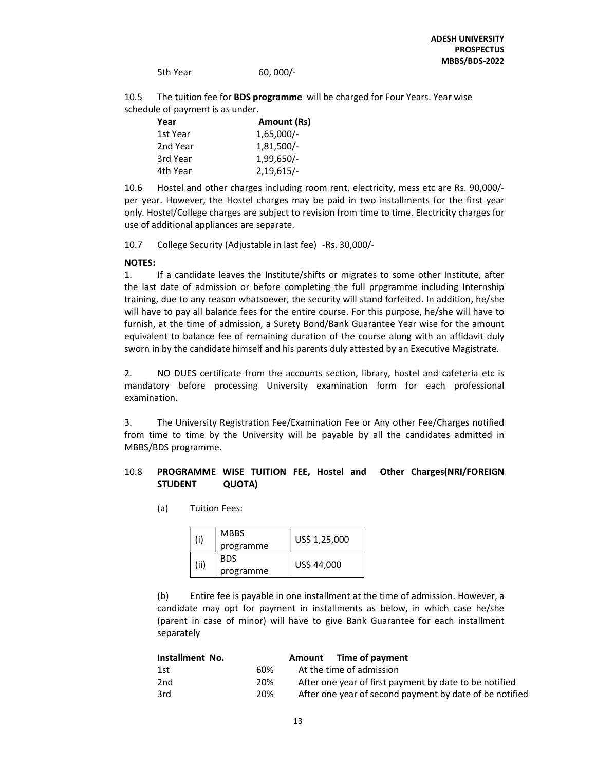5th Year 60, 000/-

10.5 The tuition fee for **BDS programme** will be charged for Four Years. Year wise schedule of payment is as under.

| Year     | Amount (Rs)  |
|----------|--------------|
| 1st Year | $1,65,000/-$ |
| 2nd Year | $1,81,500/-$ |
| 3rd Year | $1,99,650/-$ |
| 4th Year | $2,19,615/-$ |

10.6 Hostel and other charges including room rent, electricity, mess etc are Rs. 90,000/ per year. However, the Hostel charges may be paid in two installments for the first year only. Hostel/College charges are subject to revision from time to time. Electricity charges for use of additional appliances are separate.

10.7 College Security (Adjustable in last fee) -Rs. 30,000/-

#### NOTES:

1. If a candidate leaves the Institute/shifts or migrates to some other Institute, after the last date of admission or before completing the full prpgramme including Internship training, due to any reason whatsoever, the security will stand forfeited. In addition, he/she will have to pay all balance fees for the entire course. For this purpose, he/she will have to furnish, at the time of admission, a Surety Bond/Bank Guarantee Year wise for the amount equivalent to balance fee of remaining duration of the course along with an affidavit duly sworn in by the candidate himself and his parents duly attested by an Executive Magistrate.

2. NO DUES certificate from the accounts section, library, hostel and cafeteria etc is mandatory before processing University examination form for each professional examination.

3. The University Registration Fee/Examination Fee or Any other Fee/Charges notified from time to time by the University will be payable by all the candidates admitted in MBBS/BDS programme.

## 10.8 PROGRAMME WISE TUITION FEE, Hostel and Other Charges(NRI/FOREIGN STUDENT QUOTA)

(a) Tuition Fees:

|  | (i)  | <b>MBBS</b> | US\$ 1,25,000 |  |
|--|------|-------------|---------------|--|
|  |      | programme   |               |  |
|  | (ii) | <b>BDS</b>  | US\$ 44,000   |  |
|  |      | programme   |               |  |

(b) Entire fee is payable in one installment at the time of admission. However, a candidate may opt for payment in installments as below, in which case he/she (parent in case of minor) will have to give Bank Guarantee for each installment separately

| Installment No. | Amount Time of payment                                  |
|-----------------|---------------------------------------------------------|
| 60%<br>1st      | At the time of admission                                |
| 20%<br>2nd      | After one year of first payment by date to be notified  |
| 3rd<br>20%      | After one year of second payment by date of be notified |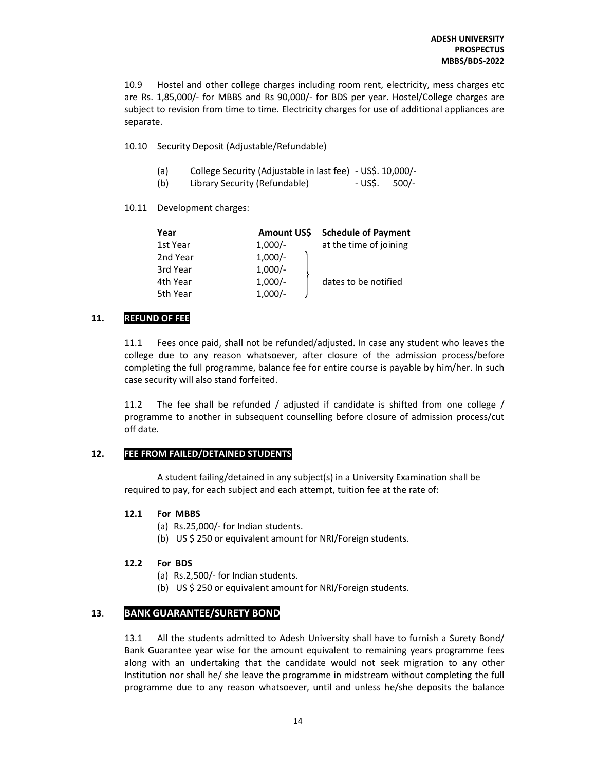10.9 Hostel and other college charges including room rent, electricity, mess charges etc are Rs. 1,85,000/- for MBBS and Rs 90,000/- for BDS per year. Hostel/College charges are subject to revision from time to time. Electricity charges for use of additional appliances are separate.

10.10 Security Deposit (Adjustable/Refundable)

- (a) College Security (Adjustable in last fee) US\$. 10,000/-
- (b) Library Security (Refundable) US\$. 500/-

10.11 Development charges:

| Year     | <b>Amount USS</b> | <b>Schedule of Payment</b> |
|----------|-------------------|----------------------------|
| 1st Year | $1,000/-$         | at the time of joining     |
| 2nd Year | $1,000/-$         |                            |
| 3rd Year | $1,000/-$         |                            |
| 4th Year | $1,000/-$         | dates to be notified       |
| 5th Year | $1,000/-$         |                            |

## 11. REFUND OF FEE

11.1 Fees once paid, shall not be refunded/adjusted. In case any student who leaves the college due to any reason whatsoever, after closure of the admission process/before completing the full programme, balance fee for entire course is payable by him/her. In such case security will also stand forfeited.

11.2 The fee shall be refunded / adjusted if candidate is shifted from one college / programme to another in subsequent counselling before closure of admission process/cut off date.

## 12. FEE FROM FAILED/DETAINED STUDENTS

A student failing/detained in any subject(s) in a University Examination shall be required to pay, for each subject and each attempt, tuition fee at the rate of:

## 12.1 For MBBS

- (a) Rs.25,000/- for Indian students.
- (b) US \$ 250 or equivalent amount for NRI/Foreign students.

## 12.2 For BDS

- (a) Rs.2,500/- for Indian students.
- (b) US \$ 250 or equivalent amount for NRI/Foreign students.

## 13. BANK GUARANTEE/SURETY BOND

13.1 All the students admitted to Adesh University shall have to furnish a Surety Bond/ Bank Guarantee year wise for the amount equivalent to remaining years programme fees along with an undertaking that the candidate would not seek migration to any other Institution nor shall he/ she leave the programme in midstream without completing the full programme due to any reason whatsoever, until and unless he/she deposits the balance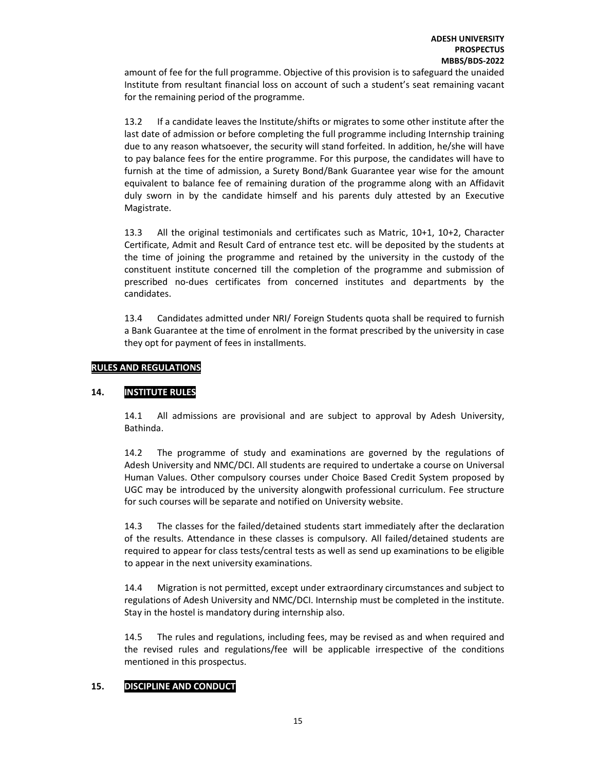amount of fee for the full programme. Objective of this provision is to safeguard the unaided Institute from resultant financial loss on account of such a student's seat remaining vacant for the remaining period of the programme.

13.2 If a candidate leaves the Institute/shifts or migrates to some other institute after the last date of admission or before completing the full programme including Internship training due to any reason whatsoever, the security will stand forfeited. In addition, he/she will have to pay balance fees for the entire programme. For this purpose, the candidates will have to furnish at the time of admission, a Surety Bond/Bank Guarantee year wise for the amount equivalent to balance fee of remaining duration of the programme along with an Affidavit duly sworn in by the candidate himself and his parents duly attested by an Executive Magistrate.

13.3 All the original testimonials and certificates such as Matric, 10+1, 10+2, Character Certificate, Admit and Result Card of entrance test etc. will be deposited by the students at the time of joining the programme and retained by the university in the custody of the constituent institute concerned till the completion of the programme and submission of prescribed no-dues certificates from concerned institutes and departments by the candidates.

13.4 Candidates admitted under NRI/ Foreign Students quota shall be required to furnish a Bank Guarantee at the time of enrolment in the format prescribed by the university in case they opt for payment of fees in installments.

## RULES AND REGULATIONS

## 14. INSTITUTE RULES

14.1 All admissions are provisional and are subject to approval by Adesh University, Bathinda.

14.2 The programme of study and examinations are governed by the regulations of Adesh University and NMC/DCI. All students are required to undertake a course on Universal Human Values. Other compulsory courses under Choice Based Credit System proposed by UGC may be introduced by the university alongwith professional curriculum. Fee structure for such courses will be separate and notified on University website.

14.3 The classes for the failed/detained students start immediately after the declaration of the results. Attendance in these classes is compulsory. All failed/detained students are required to appear for class tests/central tests as well as send up examinations to be eligible to appear in the next university examinations.

14.4 Migration is not permitted, except under extraordinary circumstances and subject to regulations of Adesh University and NMC/DCI. Internship must be completed in the institute. Stay in the hostel is mandatory during internship also.

14.5 The rules and regulations, including fees, may be revised as and when required and the revised rules and regulations/fee will be applicable irrespective of the conditions mentioned in this prospectus.

## 15. DISCIPLINE AND CONDUCT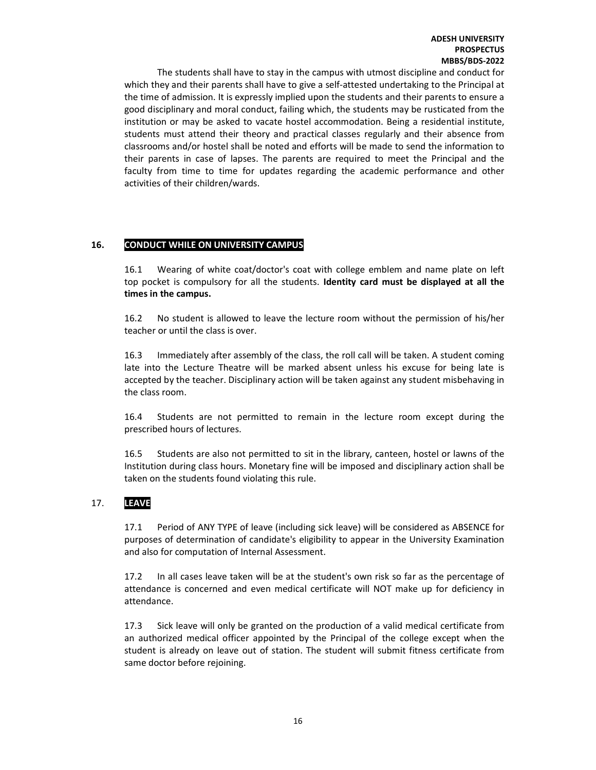The students shall have to stay in the campus with utmost discipline and conduct for which they and their parents shall have to give a self-attested undertaking to the Principal at the time of admission. It is expressly implied upon the students and their parents to ensure a good disciplinary and moral conduct, failing which, the students may be rusticated from the institution or may be asked to vacate hostel accommodation. Being a residential institute, students must attend their theory and practical classes regularly and their absence from classrooms and/or hostel shall be noted and efforts will be made to send the information to their parents in case of lapses. The parents are required to meet the Principal and the faculty from time to time for updates regarding the academic performance and other activities of their children/wards.

## 16. CONDUCT WHILE ON UNIVERSITY CAMPUS

16.1 Wearing of white coat/doctor's coat with college emblem and name plate on left top pocket is compulsory for all the students. Identity card must be displayed at all the times in the campus.

16.2 No student is allowed to leave the lecture room without the permission of his/her teacher or until the class is over.

16.3 Immediately after assembly of the class, the roll call will be taken. A student coming late into the Lecture Theatre will be marked absent unless his excuse for being late is accepted by the teacher. Disciplinary action will be taken against any student misbehaving in the class room.

16.4 Students are not permitted to remain in the lecture room except during the prescribed hours of lectures.

16.5 Students are also not permitted to sit in the library, canteen, hostel or lawns of the Institution during class hours. Monetary fine will be imposed and disciplinary action shall be taken on the students found violating this rule.

## 17. LEAVE

17.1 Period of ANY TYPE of leave (including sick leave) will be considered as ABSENCE for purposes of determination of candidate's eligibility to appear in the University Examination and also for computation of Internal Assessment.

17.2 In all cases leave taken will be at the student's own risk so far as the percentage of attendance is concerned and even medical certificate will NOT make up for deficiency in attendance.

17.3 Sick leave will only be granted on the production of a valid medical certificate from an authorized medical officer appointed by the Principal of the college except when the student is already on leave out of station. The student will submit fitness certificate from same doctor before rejoining.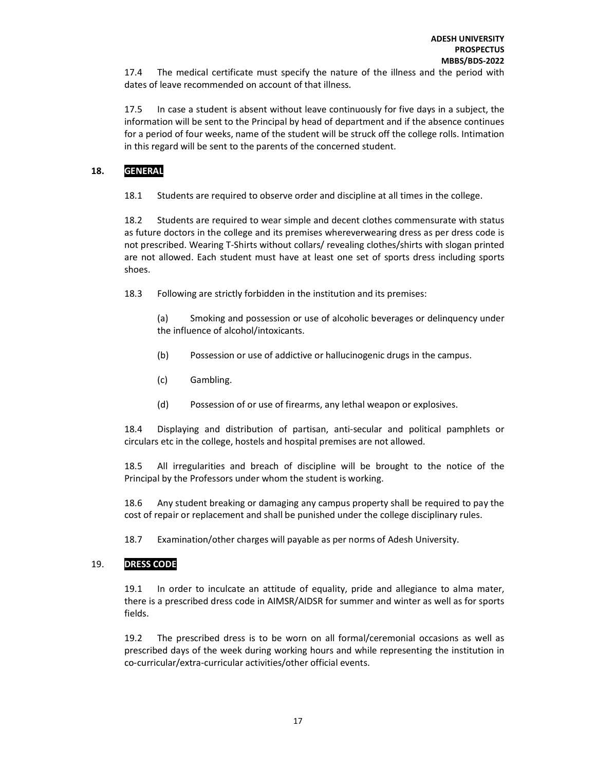17.4 The medical certificate must specify the nature of the illness and the period with dates of leave recommended on account of that illness.

17.5 In case a student is absent without leave continuously for five days in a subject, the information will be sent to the Principal by head of department and if the absence continues for a period of four weeks, name of the student will be struck off the college rolls. Intimation in this regard will be sent to the parents of the concerned student.

## 18. GENERAL

18.1 Students are required to observe order and discipline at all times in the college.

18.2 Students are required to wear simple and decent clothes commensurate with status as future doctors in the college and its premises whereverwearing dress as per dress code is not prescribed. Wearing T-Shirts without collars/ revealing clothes/shirts with slogan printed are not allowed. Each student must have at least one set of sports dress including sports shoes.

18.3 Following are strictly forbidden in the institution and its premises:

(a) Smoking and possession or use of alcoholic beverages or delinquency under the influence of alcohol/intoxicants.

- (b) Possession or use of addictive or hallucinogenic drugs in the campus.
- (c) Gambling.
- (d) Possession of or use of firearms, any lethal weapon or explosives.

18.4 Displaying and distribution of partisan, anti-secular and political pamphlets or circulars etc in the college, hostels and hospital premises are not allowed.

18.5 All irregularities and breach of discipline will be brought to the notice of the Principal by the Professors under whom the student is working.

18.6 Any student breaking or damaging any campus property shall be required to pay the cost of repair or replacement and shall be punished under the college disciplinary rules.

18.7 Examination/other charges will payable as per norms of Adesh University.

## 19. DRESS CODE

19.1 In order to inculcate an attitude of equality, pride and allegiance to alma mater, there is a prescribed dress code in AIMSR/AIDSR for summer and winter as well as for sports fields.

19.2 The prescribed dress is to be worn on all formal/ceremonial occasions as well as prescribed days of the week during working hours and while representing the institution in co-curricular/extra-curricular activities/other official events.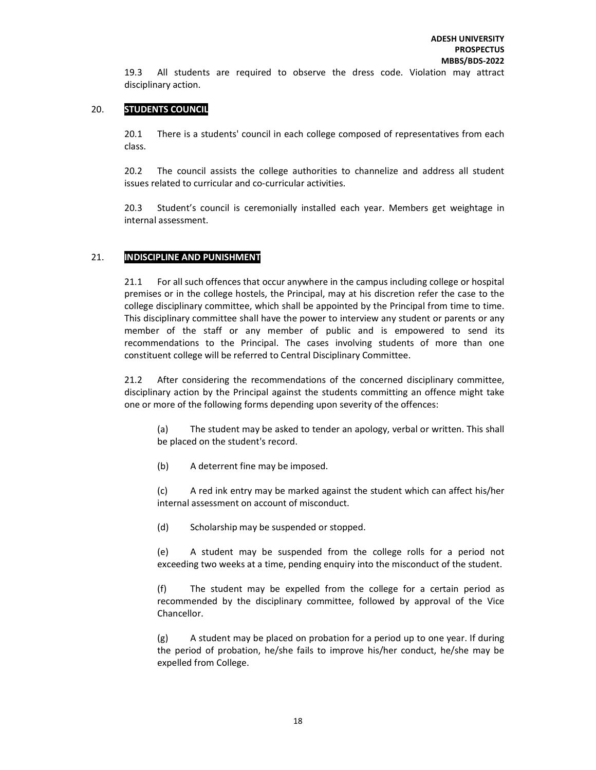19.3 All students are required to observe the dress code. Violation may attract disciplinary action.

## 20. STUDENTS COUNCIL

20.1 There is a students' council in each college composed of representatives from each class.

20.2 The council assists the college authorities to channelize and address all student issues related to curricular and co-curricular activities.

20.3 Student's council is ceremonially installed each year. Members get weightage in internal assessment.

## 21. INDISCIPLINE AND PUNISHMENT

21.1 For all such offences that occur anywhere in the campus including college or hospital premises or in the college hostels, the Principal, may at his discretion refer the case to the college disciplinary committee, which shall be appointed by the Principal from time to time. This disciplinary committee shall have the power to interview any student or parents or any member of the staff or any member of public and is empowered to send its recommendations to the Principal. The cases involving students of more than one constituent college will be referred to Central Disciplinary Committee.

21.2 After considering the recommendations of the concerned disciplinary committee, disciplinary action by the Principal against the students committing an offence might take one or more of the following forms depending upon severity of the offences:

(a) The student may be asked to tender an apology, verbal or written. This shall be placed on the student's record.

(b) A deterrent fine may be imposed.

(c) A red ink entry may be marked against the student which can affect his/her internal assessment on account of misconduct.

(d) Scholarship may be suspended or stopped.

(e) A student may be suspended from the college rolls for a period not exceeding two weeks at a time, pending enquiry into the misconduct of the student.

(f) The student may be expelled from the college for a certain period as recommended by the disciplinary committee, followed by approval of the Vice Chancellor.

(g) A student may be placed on probation for a period up to one year. If during the period of probation, he/she fails to improve his/her conduct, he/she may be expelled from College.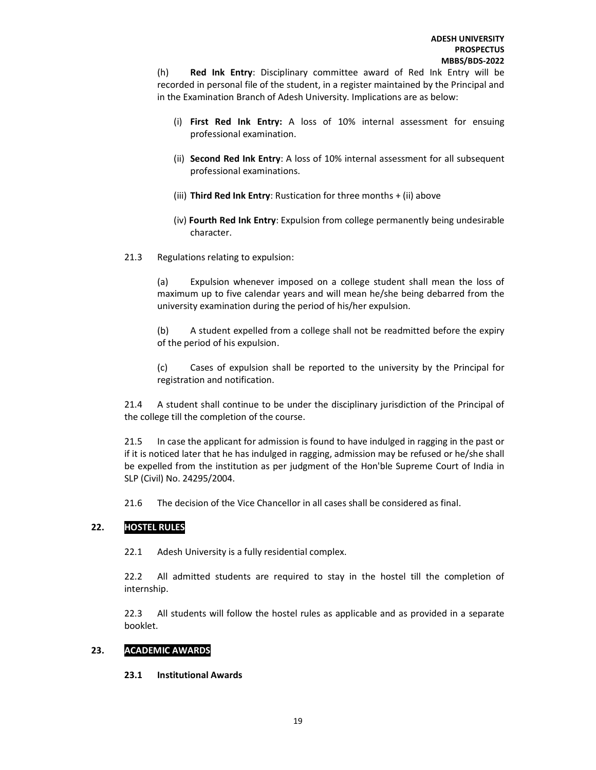(h) Red Ink Entry: Disciplinary committee award of Red Ink Entry will be recorded in personal file of the student, in a register maintained by the Principal and in the Examination Branch of Adesh University. Implications are as below:

- (i) First Red Ink Entry: A loss of 10% internal assessment for ensuing professional examination.
- (ii) Second Red Ink Entry: A loss of 10% internal assessment for all subsequent professional examinations.
- (iii) Third Red Ink Entry: Rustication for three months + (ii) above
- (iv) Fourth Red Ink Entry: Expulsion from college permanently being undesirable character.
- 21.3 Regulations relating to expulsion:

(a) Expulsion whenever imposed on a college student shall mean the loss of maximum up to five calendar years and will mean he/she being debarred from the university examination during the period of his/her expulsion.

(b) A student expelled from a college shall not be readmitted before the expiry of the period of his expulsion.

(c) Cases of expulsion shall be reported to the university by the Principal for registration and notification.

21.4 A student shall continue to be under the disciplinary jurisdiction of the Principal of the college till the completion of the course.

21.5 In case the applicant for admission is found to have indulged in ragging in the past or if it is noticed later that he has indulged in ragging, admission may be refused or he/she shall be expelled from the institution as per judgment of the Hon'ble Supreme Court of India in SLP (Civil) No. 24295/2004.

21.6 The decision of the Vice Chancellor in all cases shall be considered as final.

## 22. HOSTEL RULES

22.1 Adesh University is a fully residential complex.

22.2 All admitted students are required to stay in the hostel till the completion of internship.

22.3 All students will follow the hostel rules as applicable and as provided in a separate booklet.

## 23. ACADEMIC AWARDS

23.1 Institutional Awards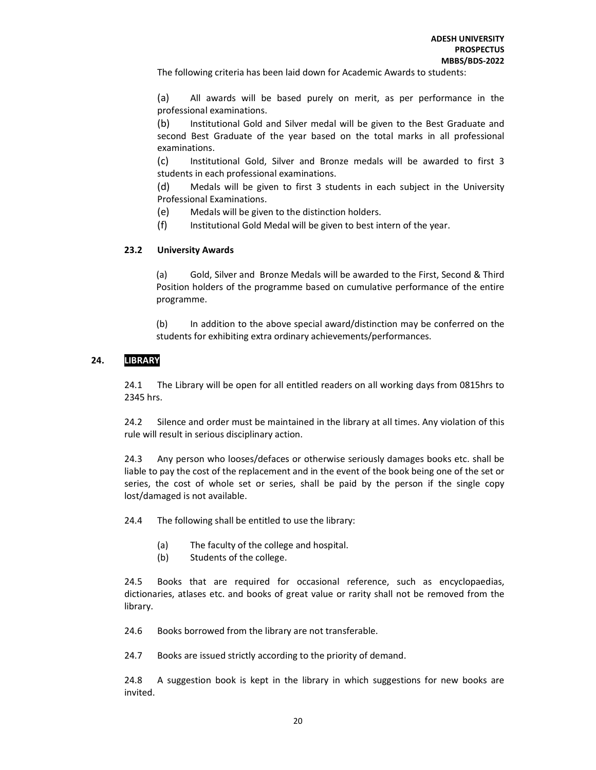The following criteria has been laid down for Academic Awards to students:

(a) All awards will be based purely on merit, as per performance in the professional examinations.

(b) Institutional Gold and Silver medal will be given to the Best Graduate and second Best Graduate of the year based on the total marks in all professional examinations.

(c) Institutional Gold, Silver and Bronze medals will be awarded to first 3 students in each professional examinations.

(d) Medals will be given to first 3 students in each subject in the University Professional Examinations.

(e) Medals will be given to the distinction holders.

(f) Institutional Gold Medal will be given to best intern of the year.

#### 23.2 University Awards

(a) Gold, Silver and Bronze Medals will be awarded to the First, Second & Third Position holders of the programme based on cumulative performance of the entire programme.

(b) In addition to the above special award/distinction may be conferred on the students for exhibiting extra ordinary achievements/performances.

## 24. LIBRARY

24.1 The Library will be open for all entitled readers on all working days from 0815hrs to 2345 hrs.

24.2 Silence and order must be maintained in the library at all times. Any violation of this rule will result in serious disciplinary action.

24.3 Any person who looses/defaces or otherwise seriously damages books etc. shall be liable to pay the cost of the replacement and in the event of the book being one of the set or series, the cost of whole set or series, shall be paid by the person if the single copy lost/damaged is not available.

24.4 The following shall be entitled to use the library:

- (a) The faculty of the college and hospital.
- (b) Students of the college.

24.5 Books that are required for occasional reference, such as encyclopaedias, dictionaries, atlases etc. and books of great value or rarity shall not be removed from the library.

24.6 Books borrowed from the library are not transferable.

24.7 Books are issued strictly according to the priority of demand.

24.8 A suggestion book is kept in the library in which suggestions for new books are invited.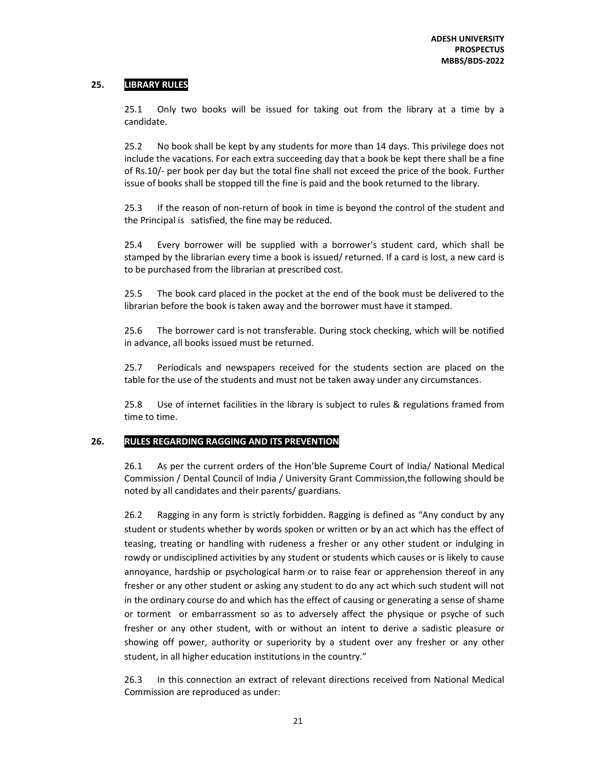## 25. LIBRARY RULES

25.1 Only two books will be issued for taking out from the library at a time by a candidate.

25.2 No book shall be kept by any students for more than 14 days. This privilege does not include the vacations. For each extra succeeding day that a book be kept there shall be a fine of Rs.10/- per book per day but the total fine shall not exceed the price of the book. Further issue of books shall be stopped till the fine is paid and the book returned to the library.

25.3 If the reason of non-return of book in time is beyond the control of the student and the Principal is satisfied, the fine may be reduced.

25.4 Every borrower will be supplied with a borrower's student card, which shall be stamped by the librarian every time a book is issued/ returned. If a card is lost, a new card is to be purchased from the librarian at prescribed cost.

25.5 The book card placed in the pocket at the end of the book must be delivered to the librarian before the book is taken away and the borrower must have it stamped.

25.6 The borrower card is not transferable. During stock checking, which will be notified in advance, all books issued must be returned.

25.7 Periodicals and newspapers received for the students section are placed on the table for the use of the students and must not be taken away under any circumstances.

25.8 Use of internet facilities in the library is subject to rules & regulations framed from time to time.

## 26. RULES REGARDING RAGGING AND ITS PREVENTION

26.1 As per the current orders of the Hon'ble Supreme Court of India/ National Medical Commission / Dental Council of India / University Grant Commission,the following should be noted by all candidates and their parents/ guardians.

26.2 Ragging in any form is strictly forbidden. Ragging is defined as "Any conduct by any student or students whether by words spoken or written or by an act which has the effect of teasing, treating or handling with rudeness a fresher or any other student or indulging in rowdy or undisciplined activities by any student or students which causes or is likely to cause annoyance, hardship or psychological harm or to raise fear or apprehension thereof in any fresher or any other student or asking any student to do any act which such student will not in the ordinary course do and which has the effect of causing or generating a sense of shame or torment or embarrassment so as to adversely affect the physique or psyche of such fresher or any other student, with or without an intent to derive a sadistic pleasure or showing off power, authority or superiority by a student over any fresher or any other student, in all higher education institutions in the country."

 26.3 In this connection an extract of relevant directions received from National Medical Commission are reproduced as under: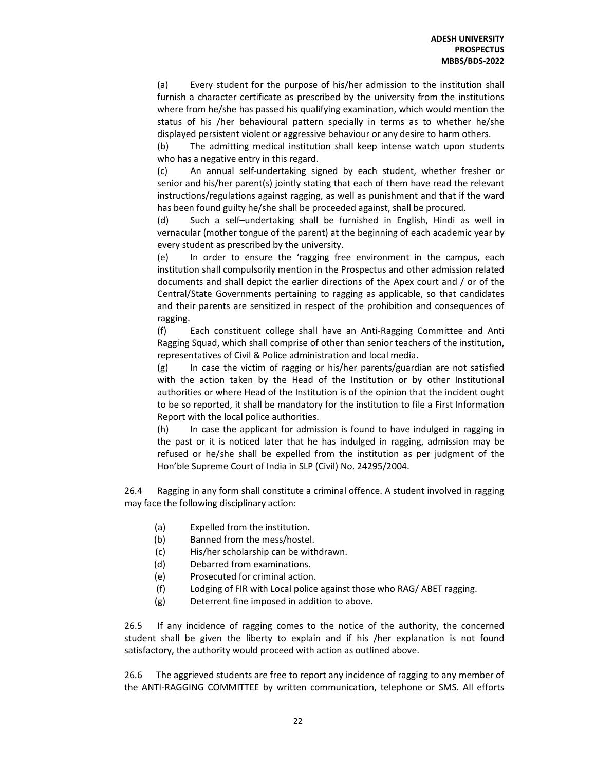(a) Every student for the purpose of his/her admission to the institution shall furnish a character certificate as prescribed by the university from the institutions where from he/she has passed his qualifying examination, which would mention the status of his /her behavioural pattern specially in terms as to whether he/she displayed persistent violent or aggressive behaviour or any desire to harm others.

(b) The admitting medical institution shall keep intense watch upon students who has a negative entry in this regard.

(c) An annual self-undertaking signed by each student, whether fresher or senior and his/her parent(s) jointly stating that each of them have read the relevant instructions/regulations against ragging, as well as punishment and that if the ward has been found guilty he/she shall be proceeded against, shall be procured.

(d) Such a self–undertaking shall be furnished in English, Hindi as well in vernacular (mother tongue of the parent) at the beginning of each academic year by every student as prescribed by the university.

(e) In order to ensure the 'ragging free environment in the campus, each institution shall compulsorily mention in the Prospectus and other admission related documents and shall depict the earlier directions of the Apex court and / or of the Central/State Governments pertaining to ragging as applicable, so that candidates and their parents are sensitized in respect of the prohibition and consequences of ragging.

(f) Each constituent college shall have an Anti-Ragging Committee and Anti Ragging Squad, which shall comprise of other than senior teachers of the institution, representatives of Civil & Police administration and local media.

(g) In case the victim of ragging or his/her parents/guardian are not satisfied with the action taken by the Head of the Institution or by other Institutional authorities or where Head of the Institution is of the opinion that the incident ought to be so reported, it shall be mandatory for the institution to file a First Information Report with the local police authorities.

(h) In case the applicant for admission is found to have indulged in ragging in the past or it is noticed later that he has indulged in ragging, admission may be refused or he/she shall be expelled from the institution as per judgment of the Hon'ble Supreme Court of India in SLP (Civil) No. 24295/2004.

26.4 Ragging in any form shall constitute a criminal offence. A student involved in ragging may face the following disciplinary action:

- (a) Expelled from the institution.
- (b) Banned from the mess/hostel.
- (c) His/her scholarship can be withdrawn.
- (d) Debarred from examinations.
- (e) Prosecuted for criminal action.
- (f) Lodging of FIR with Local police against those who RAG/ ABET ragging.
- (g) Deterrent fine imposed in addition to above.

26.5 If any incidence of ragging comes to the notice of the authority, the concerned student shall be given the liberty to explain and if his /her explanation is not found satisfactory, the authority would proceed with action as outlined above.

26.6 The aggrieved students are free to report any incidence of ragging to any member of the ANTI-RAGGING COMMITTEE by written communication, telephone or SMS. All efforts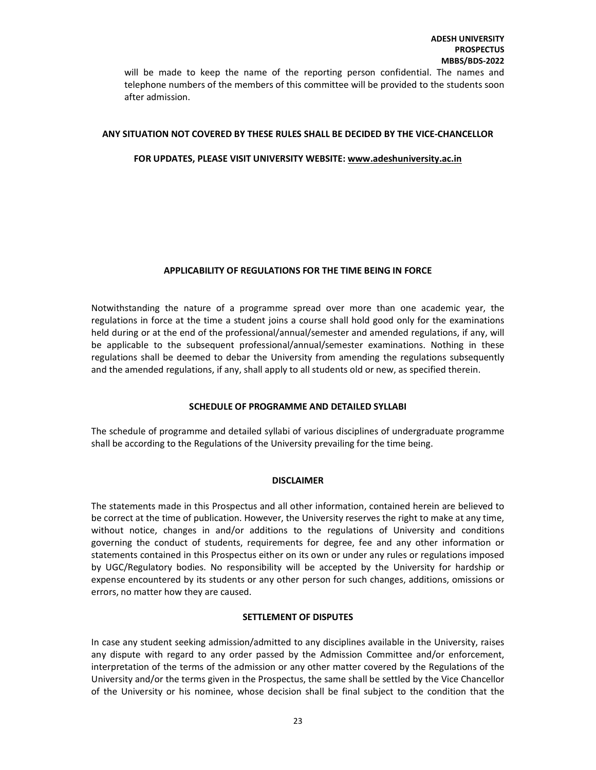will be made to keep the name of the reporting person confidential. The names and telephone numbers of the members of this committee will be provided to the students soon after admission.

#### ANY SITUATION NOT COVERED BY THESE RULES SHALL BE DECIDED BY THE VICE-CHANCELLOR

#### FOR UPDATES, PLEASE VISIT UNIVERSITY WEBSITE: www.adeshuniversity.ac.in

#### APPLICABILITY OF REGULATIONS FOR THE TIME BEING IN FORCE

Notwithstanding the nature of a programme spread over more than one academic year, the regulations in force at the time a student joins a course shall hold good only for the examinations held during or at the end of the professional/annual/semester and amended regulations, if any, will be applicable to the subsequent professional/annual/semester examinations. Nothing in these regulations shall be deemed to debar the University from amending the regulations subsequently and the amended regulations, if any, shall apply to all students old or new, as specified therein.

## SCHEDULE OF PROGRAMME AND DETAILED SYLLABI

The schedule of programme and detailed syllabi of various disciplines of undergraduate programme shall be according to the Regulations of the University prevailing for the time being.

#### **DISCLAIMER**

The statements made in this Prospectus and all other information, contained herein are believed to be correct at the time of publication. However, the University reserves the right to make at any time, without notice, changes in and/or additions to the regulations of University and conditions governing the conduct of students, requirements for degree, fee and any other information or statements contained in this Prospectus either on its own or under any rules or regulations imposed by UGC/Regulatory bodies. No responsibility will be accepted by the University for hardship or expense encountered by its students or any other person for such changes, additions, omissions or errors, no matter how they are caused.

#### SETTLEMENT OF DISPUTES

In case any student seeking admission/admitted to any disciplines available in the University, raises any dispute with regard to any order passed by the Admission Committee and/or enforcement, interpretation of the terms of the admission or any other matter covered by the Regulations of the University and/or the terms given in the Prospectus, the same shall be settled by the Vice Chancellor of the University or his nominee, whose decision shall be final subject to the condition that the